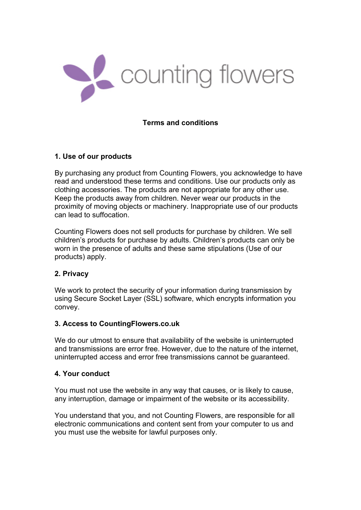

### **Terms and conditions**

### **1. Use of our products**

By purchasing any product from Counting Flowers, you acknowledge to have read and understood these terms and conditions. Use our products only as clothing accessories. The products are not appropriate for any other use. Keep the products away from children. Never wear our products in the proximity of moving objects or machinery. Inappropriate use of our products can lead to suffocation.

Counting Flowers does not sell products for purchase by children. We sell children's products for purchase by adults. Children's products can only be worn in the presence of adults and these same stipulations (Use of our products) apply.

## **2. Privacy**

We work to protect the security of your information during transmission by using Secure Socket Layer (SSL) software, which encrypts information you convey.

#### **3. Access to CountingFlowers.co.uk**

We do our utmost to ensure that availability of the website is uninterrupted and transmissions are error free. However, due to the nature of the internet, uninterrupted access and error free transmissions cannot be guaranteed.

#### **4. Your conduct**

You must not use the website in any way that causes, or is likely to cause, any interruption, damage or impairment of the website or its accessibility.

You understand that you, and not Counting Flowers, are responsible for all electronic communications and content sent from your computer to us and you must use the website for lawful purposes only.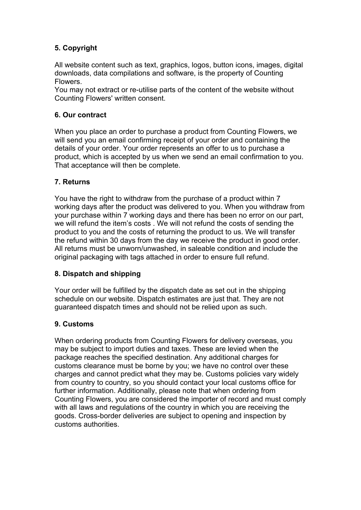# **5. Copyright**

All website content such as text, graphics, logos, button icons, images, digital downloads, data compilations and software, is the property of Counting Flowers.

You may not extract or re-utilise parts of the content of the website without Counting Flowers' written consent.

# **6. Our contract**

When you place an order to purchase a product from Counting Flowers, we will send you an email confirming receipt of your order and containing the details of your order. Your order represents an offer to us to purchase a product, which is accepted by us when we send an email confirmation to you. That acceptance will then be complete.

## **7. Returns**

You have the right to withdraw from the purchase of a product within 7 working days after the product was delivered to you. When you withdraw from your purchase within 7 working days and there has been no error on our part, we will refund the item's costs . We will not refund the costs of sending the product to you and the costs of returning the product to us. We will transfer the refund within 30 days from the day we receive the product in good order. All returns must be unworn/unwashed, in saleable condition and include the original packaging with tags attached in order to ensure full refund.

# **8. Dispatch and shipping**

Your order will be fulfilled by the dispatch date as set out in the shipping schedule on our website. Dispatch estimates are just that. They are not guaranteed dispatch times and should not be relied upon as such.

## **9. Customs**

When ordering products from Counting Flowers for delivery overseas, you may be subject to import duties and taxes. These are levied when the package reaches the specified destination. Any additional charges for customs clearance must be borne by you; we have no control over these charges and cannot predict what they may be. Customs policies vary widely from country to country, so you should contact your local customs office for further information. Additionally, please note that when ordering from Counting Flowers, you are considered the importer of record and must comply with all laws and regulations of the country in which you are receiving the goods. Cross-border deliveries are subject to opening and inspection by customs authorities.